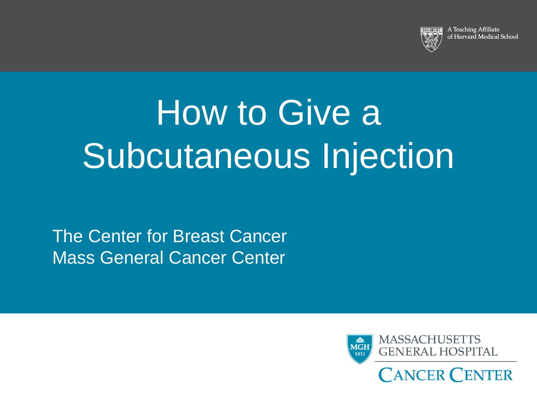

A Teaching Affiliate of Harvard Medical School

# How to Give a Subcutaneous Injection

The Center for Breast Cancer Mass General Cancer Center

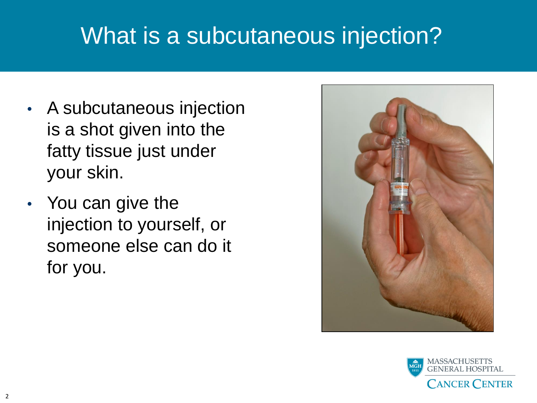### What is a subcutaneous injection?

- A subcutaneous injection is a shot given into the fatty tissue just under your skin.
- You can give the injection to yourself, or someone else can do it for you.



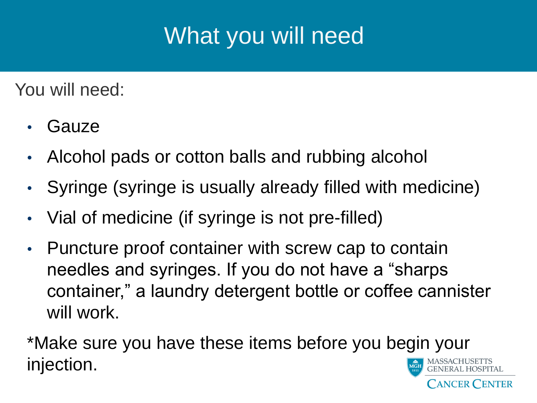# What you will need

You will need:

- **Gauze**
- Alcohol pads or cotton balls and rubbing alcohol
- Syringe (syringe is usually already filled with medicine)
- Vial of medicine (if syringe is not pre-filled)
- Puncture proof container with screw cap to contain needles and syringes. If you do not have a "sharps container," a laundry detergent bottle or coffee cannister will work.

\*Make sure you have these items before you begin your injection.

ANCER CENTER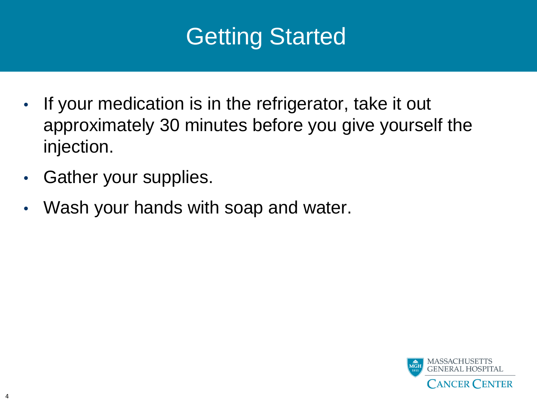### Getting Started

- If your medication is in the refrigerator, take it out approximately 30 minutes before you give yourself the injection.
- Gather your supplies.
- Wash your hands with soap and water.

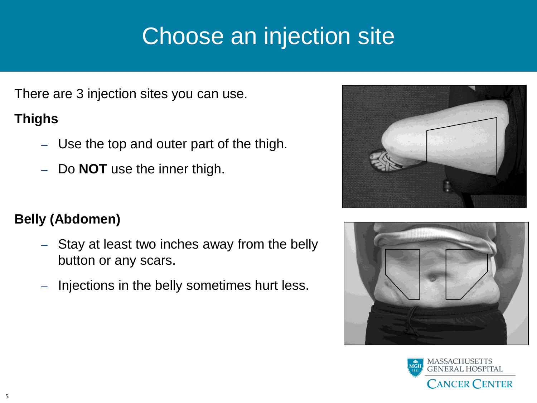# Choose an injection site

There are 3 injection sites you can use.

#### **Thighs**

- Use the top and outer part of the thigh.
- Do **NOT** use the inner thigh.

#### **Belly (Abdomen)**

- Stay at least two inches away from the belly button or any scars.
- Injections in the belly sometimes hurt less.





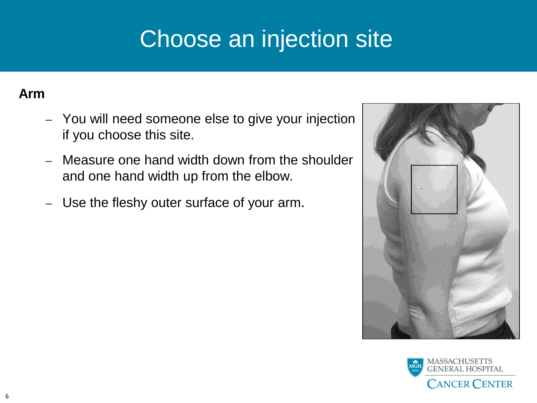# Choose an injection site

#### **Arm**

- You will need someone else to give your injection if you choose this site.
- Measure one hand width down from the shoulder and one hand width up from the elbow.
- Use the fleshy outer surface of your arm.



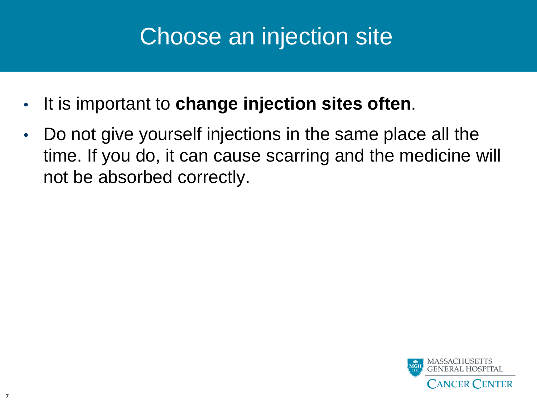### Choose an injection site

- It is important to **change injection sites often**.
- Do not give yourself injections in the same place all the time. If you do, it can cause scarring and the medicine will not be absorbed correctly.

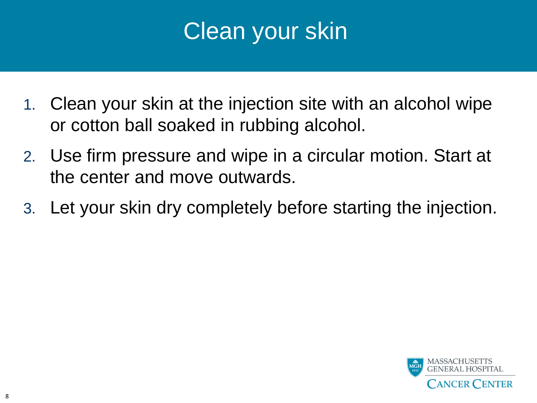### Clean your skin

- 1. Clean your skin at the injection site with an alcohol wipe or cotton ball soaked in rubbing alcohol.
- 2. Use firm pressure and wipe in a circular motion. Start at the center and move outwards.
- 3. Let your skin dry completely before starting the injection.

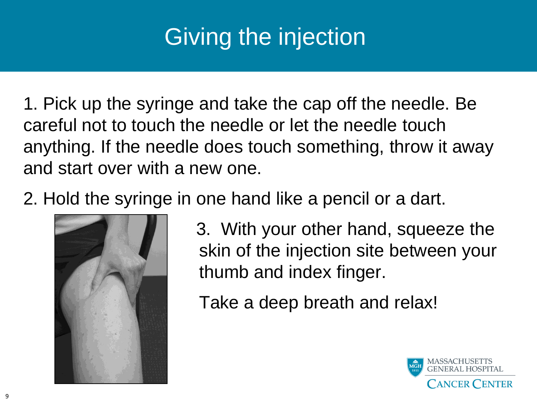# Giving the injection

1. Pick up the syringe and take the cap off the needle. Be careful not to touch the needle or let the needle touch anything. If the needle does touch something, throw it away and start over with a new one.

2. Hold the syringe in one hand like a pencil or a dart.



3. With your other hand, squeeze the skin of the injection site between your thumb and index finger.

Take a deep breath and relax!

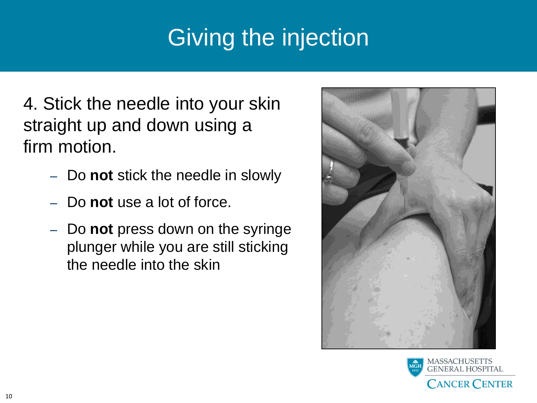# Giving the injection

4. Stick the needle into your skin straight up and down using a firm motion.

- Do **not** stick the needle in slowly
- Do **not** use a lot of force.
- Do **not** press down on the syringe plunger while you are still sticking the needle into the skin



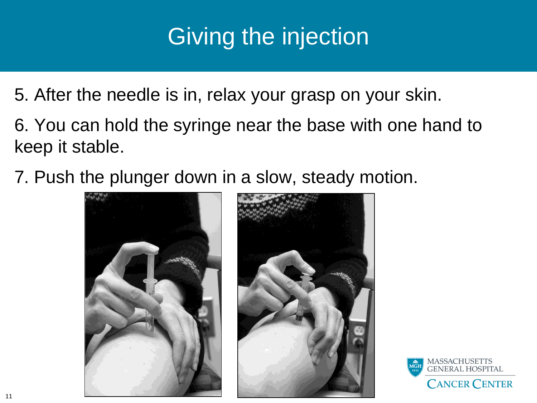# Giving the injection

- 5. After the needle is in, relax your grasp on your skin.
- 6. You can hold the syringe near the base with one hand to keep it stable.
- 7. Push the plunger down in a slow, steady motion.



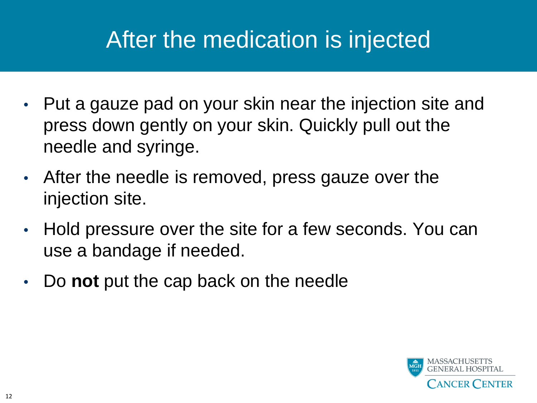# After the medication is injected

- Put a gauze pad on your skin near the injection site and press down gently on your skin. Quickly pull out the needle and syringe.
- After the needle is removed, press gauze over the injection site.
- Hold pressure over the site for a few seconds. You can use a bandage if needed.
- Do **not** put the cap back on the needle

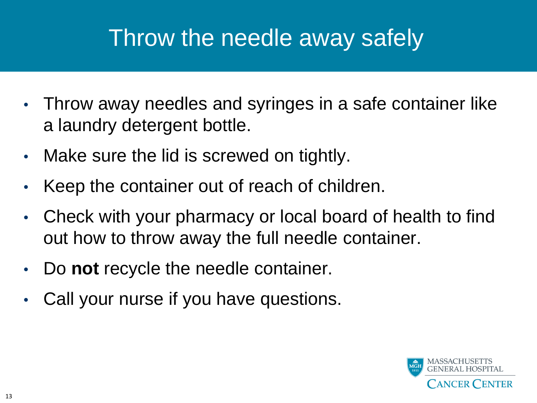# Throw the needle away safely

- Throw away needles and syringes in a safe container like a laundry detergent bottle.
- Make sure the lid is screwed on tightly.
- Keep the container out of reach of children.
- Check with your pharmacy or local board of health to find out how to throw away the full needle container.
- Do **not** recycle the needle container.
- Call your nurse if you have questions.